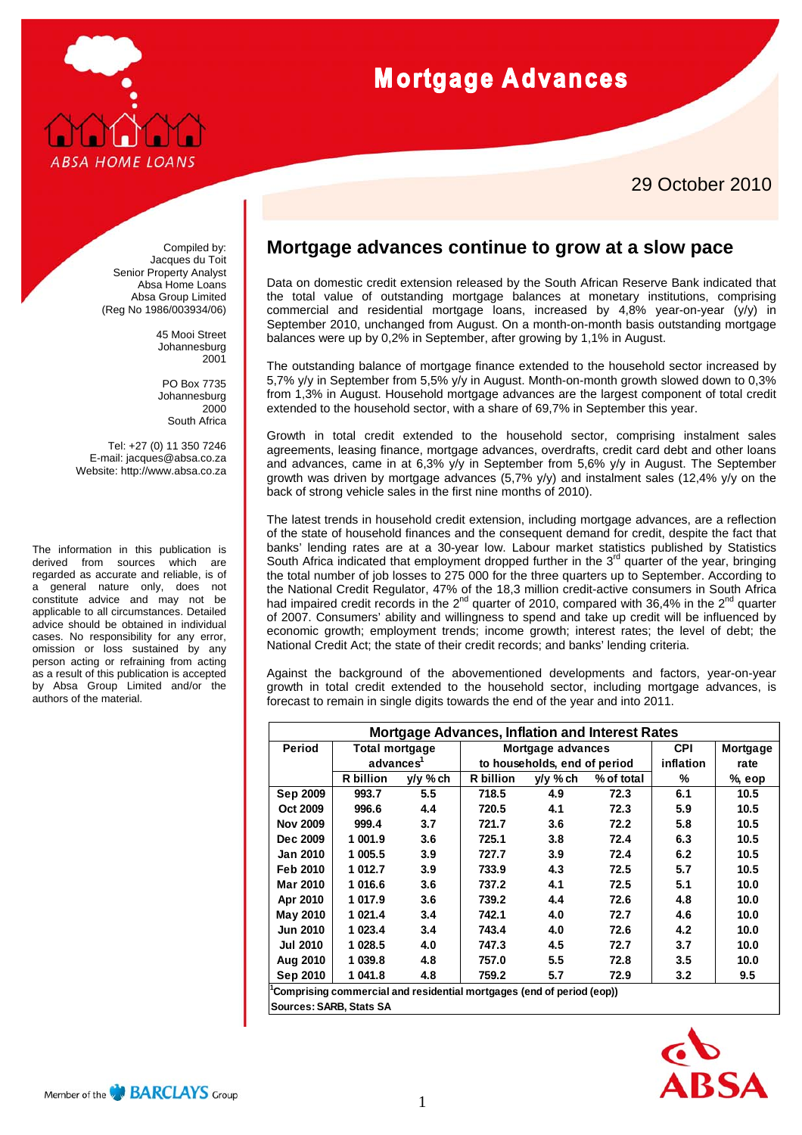

## **Mortgage Advances**

## 29 October 2010

Compiled by: Jacques du Toit Senior Property Analyst Absa Home Loans Absa Group Limited (Reg No 1986/003934/06)

> 45 Mooi Street Johannesburg 2001

PO Box 7735 Johannesburg 2000 South Africa

Tel: +27 (0) 11 350 7246 E-mail: jacques@absa.co.za Website: http://www.absa.co.za

The information in this publication is derived from sources which are regarded as accurate and reliable, is of a general nature only, does not constitute advice and may not be applicable to all circumstances. Detailed advice should be obtained in individual cases. No responsibility for any error, omission or loss sustained by any person acting or refraining from acting as a result of this publication is accepted by Absa Group Limited and/or the authors of the material.

## **Mortgage advances continue to grow at a slow pace**

Data on domestic credit extension released by the South African Reserve Bank indicated that the total value of outstanding mortgage balances at monetary institutions, comprising commercial and residential mortgage loans, increased by 4,8% year-on-year (y/y) in September 2010, unchanged from August. On a month-on-month basis outstanding mortgage balances were up by 0,2% in September, after growing by 1,1% in August.

The outstanding balance of mortgage finance extended to the household sector increased by 5,7% y/y in September from 5,5% y/y in August. Month-on-month growth slowed down to 0,3% from 1,3% in August. Household mortgage advances are the largest component of total credit extended to the household sector, with a share of 69,7% in September this year.

Growth in total credit extended to the household sector, comprising instalment sales agreements, leasing finance, mortgage advances, overdrafts, credit card debt and other loans and advances, came in at 6,3% y/y in September from 5,6% y/y in August. The September growth was driven by mortgage advances (5,7% y/y) and instalment sales (12,4% y/y on the back of strong vehicle sales in the first nine months of 2010).

The latest trends in household credit extension, including mortgage advances, are a reflection of the state of household finances and the consequent demand for credit, despite the fact that banks' lending rates are at a 30-year low. Labour market statistics published by Statistics South Africa indicated that employment dropped further in the  $3<sup>rd</sup>$  quarter of the year, bringing the total number of job losses to 275 000 for the three quarters up to September. According to the National Credit Regulator, 47% of the 18,3 million credit-active consumers in South Africa had impaired credit records in the 2<sup>nd</sup> quarter of 2010, compared with 36,4% in the 2<sup>nd</sup> quarter of 2007. Consumers' ability and willingness to spend and take up credit will be influenced by economic growth; employment trends; income growth; interest rates; the level of debt; the National Credit Act; the state of their credit records; and banks' lending criteria.

Against the background of the abovementioned developments and factors, year-on-year growth in total credit extended to the household sector, including mortgage advances, is forecast to remain in single digits towards the end of the year and into 2011.

| <b>Mortgage Advances, Inflation and Interest Rates</b>                                           |                                         |          |                                                   |          |            |            |          |
|--------------------------------------------------------------------------------------------------|-----------------------------------------|----------|---------------------------------------------------|----------|------------|------------|----------|
| Period                                                                                           | Total mortgage<br>advances <sup>1</sup> |          | Mortgage advances<br>to households, end of period |          |            | <b>CPI</b> | Mortgage |
|                                                                                                  |                                         |          |                                                   |          |            | inflation  | rate     |
|                                                                                                  | R billion                               | y/y % ch | R billion                                         | y/y % ch | % of total | %          | $%$ eop  |
| Sep 2009                                                                                         | 993.7                                   | 5.5      | 718.5                                             | 4.9      | 72.3       | 6.1        | 10.5     |
| Oct 2009                                                                                         | 996.6                                   | 4.4      | 720.5                                             | 4.1      | 72.3       | 5.9        | 10.5     |
| <b>Nov 2009</b>                                                                                  | 999.4                                   | 3.7      | 721.7                                             | 3.6      | 72.2       | 5.8        | 10.5     |
| Dec 2009                                                                                         | 1 001.9                                 | 3.6      | 725.1                                             | 3.8      | 72.4       | 6.3        | 10.5     |
| <b>Jan 2010</b>                                                                                  | 1 005.5                                 | 3.9      | 727.7                                             | 3.9      | 72.4       | 6.2        | 10.5     |
| Feb 2010                                                                                         | 1 012.7                                 | 3.9      | 733.9                                             | 4.3      | 72.5       | 5.7        | 10.5     |
| Mar 2010                                                                                         | 1 016.6                                 | 3.6      | 737.2                                             | 4.1      | 72.5       | 5.1        | 10.0     |
| Apr 2010                                                                                         | 1 017.9                                 | 3.6      | 739.2                                             | 4.4      | 72.6       | 4.8        | 10.0     |
| May 2010                                                                                         | 1 021.4                                 | 3.4      | 742.1                                             | 4.0      | 72.7       | 4.6        | 10.0     |
| <b>Jun 2010</b>                                                                                  | 1 023.4                                 | 3.4      | 743.4                                             | 4.0      | 72.6       | 4.2        | 10.0     |
| <b>Jul 2010</b>                                                                                  | 1 028.5                                 | 4.0      | 747.3                                             | 4.5      | 72.7       | 3.7        | 10.0     |
| Aug 2010                                                                                         | 1 039.8                                 | 4.8      | 757.0                                             | 5.5      | 72.8       | 3.5        | 10.0     |
| Sep 2010                                                                                         | 1 041.8                                 | 4.8      | 759.2                                             | 5.7      | 72.9       | 3.2        | 9.5      |
| Comprising commercial and residential mortgages (end of period (eop))<br>Sources: SARB, Stats SA |                                         |          |                                                   |          |            |            |          |